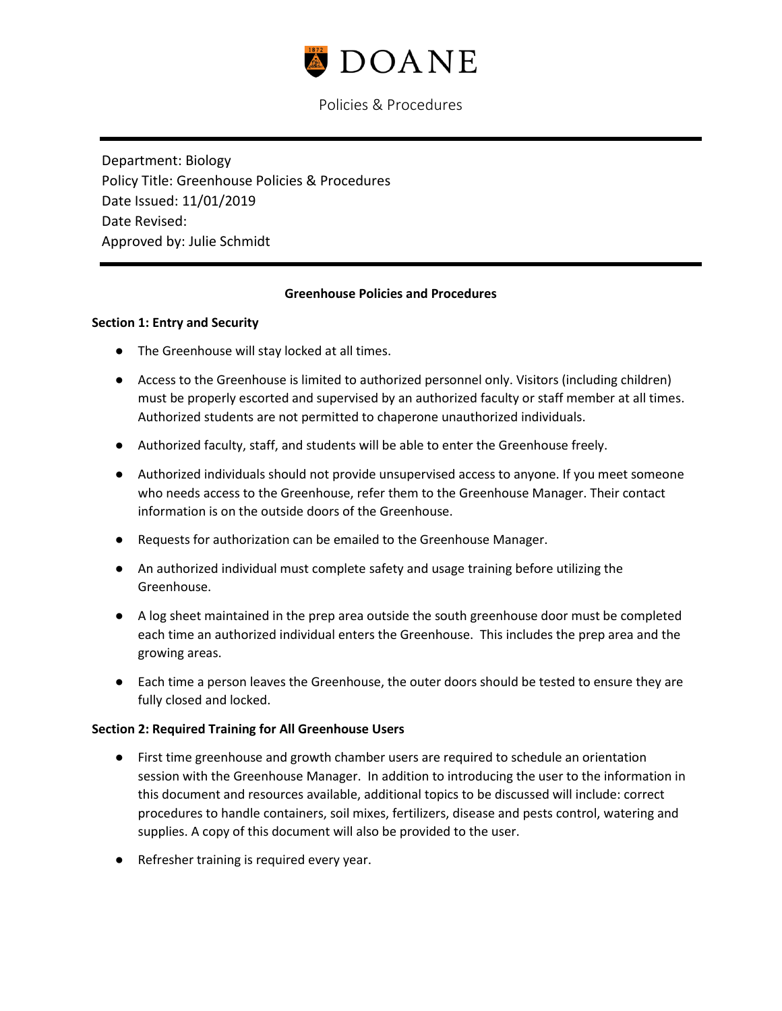

Department: Biology Policy Title: Greenhouse Policies & Procedures Date Issued: 11/01/2019 Date Revised: Approved by: Julie Schmidt

### **Greenhouse Policies and Procedures**

#### **Section 1: Entry and Security**

- The Greenhouse will stay locked at all times.
- Access to the Greenhouse is limited to authorized personnel only. Visitors (including children) must be properly escorted and supervised by an authorized faculty or staff member at all times. Authorized students are not permitted to chaperone unauthorized individuals.
- Authorized faculty, staff, and students will be able to enter the Greenhouse freely.
- Authorized individuals should not provide unsupervised access to anyone. If you meet someone who needs access to the Greenhouse, refer them to the Greenhouse Manager. Their contact information is on the outside doors of the Greenhouse.
- Requests for authorization can be emailed to the Greenhouse Manager.
- An authorized individual must complete safety and usage training before utilizing the Greenhouse.
- A log sheet maintained in the prep area outside the south greenhouse door must be completed each time an authorized individual enters the Greenhouse. This includes the prep area and the growing areas.
- Each time a person leaves the Greenhouse, the outer doors should be tested to ensure they are fully closed and locked.

#### **Section 2: Required Training for All Greenhouse Users**

- First time greenhouse and growth chamber users are required to schedule an orientation session with the Greenhouse Manager. In addition to introducing the user to the information in this document and resources available, additional topics to be discussed will include: correct procedures to handle containers, soil mixes, fertilizers, disease and pests control, watering and supplies. A copy of this document will also be provided to the user.
- Refresher training is required every year.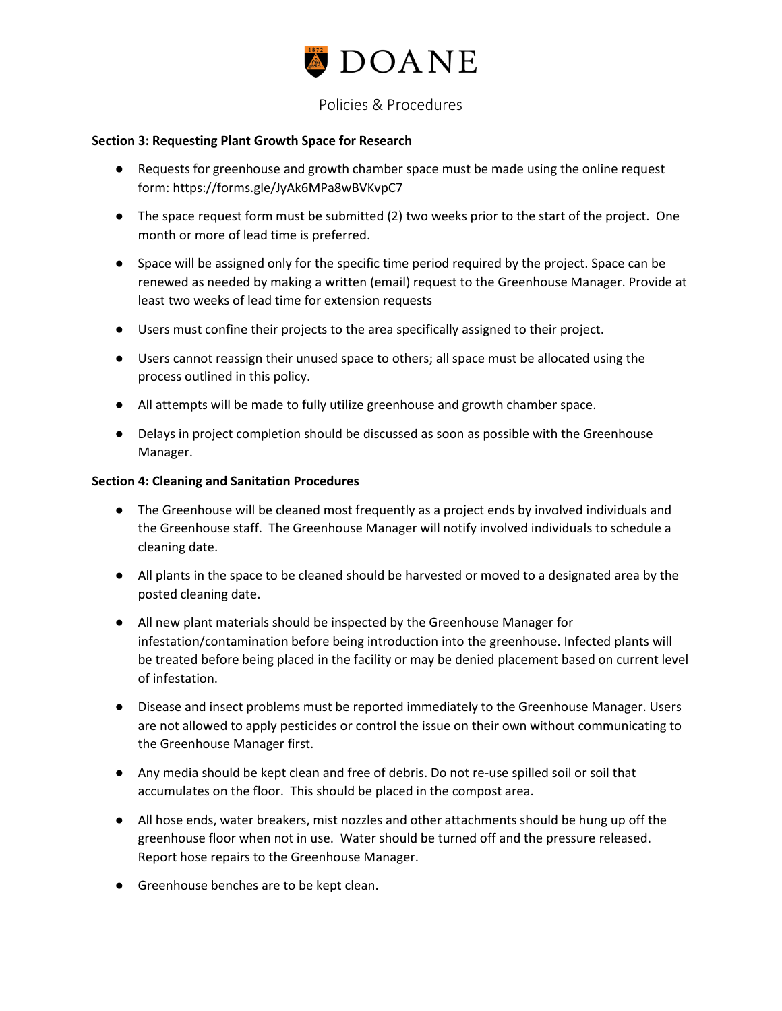

### **Section 3: Requesting Plant Growth Space for Research**

- Requests for greenhouse and growth chamber space must be made using the online request form: https://forms.gle/JyAk6MPa8wBVKvpC7
- The space request form must be submitted (2) two weeks prior to the start of the project. One month or more of lead time is preferred.
- Space will be assigned only for the specific time period required by the project. Space can be renewed as needed by making a written (email) request to the Greenhouse Manager. Provide at least two weeks of lead time for extension requests
- Users must confine their projects to the area specifically assigned to their project.
- Users cannot reassign their unused space to others; all space must be allocated using the process outlined in this policy.
- All attempts will be made to fully utilize greenhouse and growth chamber space.
- Delays in project completion should be discussed as soon as possible with the Greenhouse Manager.

#### **Section 4: Cleaning and Sanitation Procedures**

- The Greenhouse will be cleaned most frequently as a project ends by involved individuals and the Greenhouse staff. The Greenhouse Manager will notify involved individuals to schedule a cleaning date.
- All plants in the space to be cleaned should be harvested or moved to a designated area by the posted cleaning date.
- All new plant materials should be inspected by the Greenhouse Manager for infestation/contamination before being introduction into the greenhouse. Infected plants will be treated before being placed in the facility or may be denied placement based on current level of infestation.
- Disease and insect problems must be reported immediately to the Greenhouse Manager. Users are not allowed to apply pesticides or control the issue on their own without communicating to the Greenhouse Manager first.
- Any media should be kept clean and free of debris. Do not re-use spilled soil or soil that accumulates on the floor. This should be placed in the compost area.
- All hose ends, water breakers, mist nozzles and other attachments should be hung up off the greenhouse floor when not in use. Water should be turned off and the pressure released. Report hose repairs to the Greenhouse Manager.
- Greenhouse benches are to be kept clean.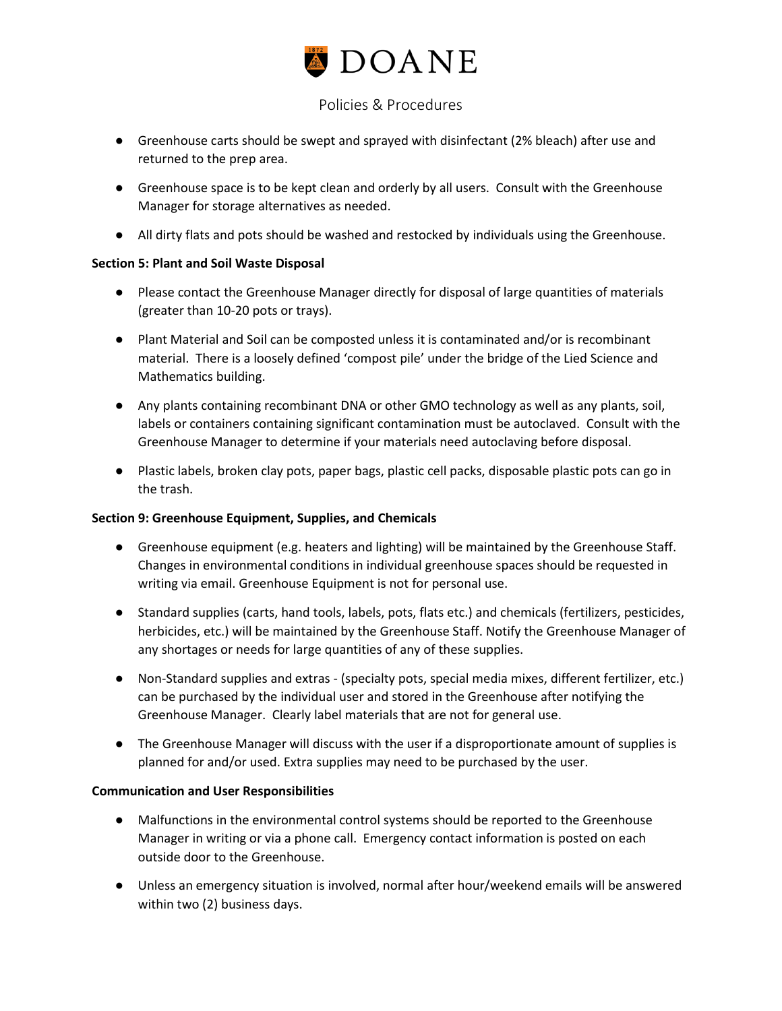

- Greenhouse carts should be swept and sprayed with disinfectant (2% bleach) after use and returned to the prep area.
- Greenhouse space is to be kept clean and orderly by all users. Consult with the Greenhouse Manager for storage alternatives as needed.
- All dirty flats and pots should be washed and restocked by individuals using the Greenhouse.

## **Section 5: Plant and Soil Waste Disposal**

- Please contact the Greenhouse Manager directly for disposal of large quantities of materials (greater than 10-20 pots or trays).
- Plant Material and Soil can be composted unless it is contaminated and/or is recombinant material. There is a loosely defined 'compost pile' under the bridge of the Lied Science and Mathematics building.
- Any plants containing recombinant DNA or other GMO technology as well as any plants, soil, labels or containers containing significant contamination must be autoclaved. Consult with the Greenhouse Manager to determine if your materials need autoclaving before disposal.
- Plastic labels, broken clay pots, paper bags, plastic cell packs, disposable plastic pots can go in the trash.

### **Section 9: Greenhouse Equipment, Supplies, and Chemicals**

- Greenhouse equipment (e.g. heaters and lighting) will be maintained by the Greenhouse Staff. Changes in environmental conditions in individual greenhouse spaces should be requested in writing via email. Greenhouse Equipment is not for personal use.
- Standard supplies (carts, hand tools, labels, pots, flats etc.) and chemicals (fertilizers, pesticides, herbicides, etc.) will be maintained by the Greenhouse Staff. Notify the Greenhouse Manager of any shortages or needs for large quantities of any of these supplies.
- Non-Standard supplies and extras (specialty pots, special media mixes, different fertilizer, etc.) can be purchased by the individual user and stored in the Greenhouse after notifying the Greenhouse Manager. Clearly label materials that are not for general use.
- The Greenhouse Manager will discuss with the user if a disproportionate amount of supplies is planned for and/or used. Extra supplies may need to be purchased by the user.

### **Communication and User Responsibilities**

- Malfunctions in the environmental control systems should be reported to the Greenhouse Manager in writing or via a phone call. Emergency contact information is posted on each outside door to the Greenhouse.
- Unless an emergency situation is involved, normal after hour/weekend emails will be answered within two (2) business days.